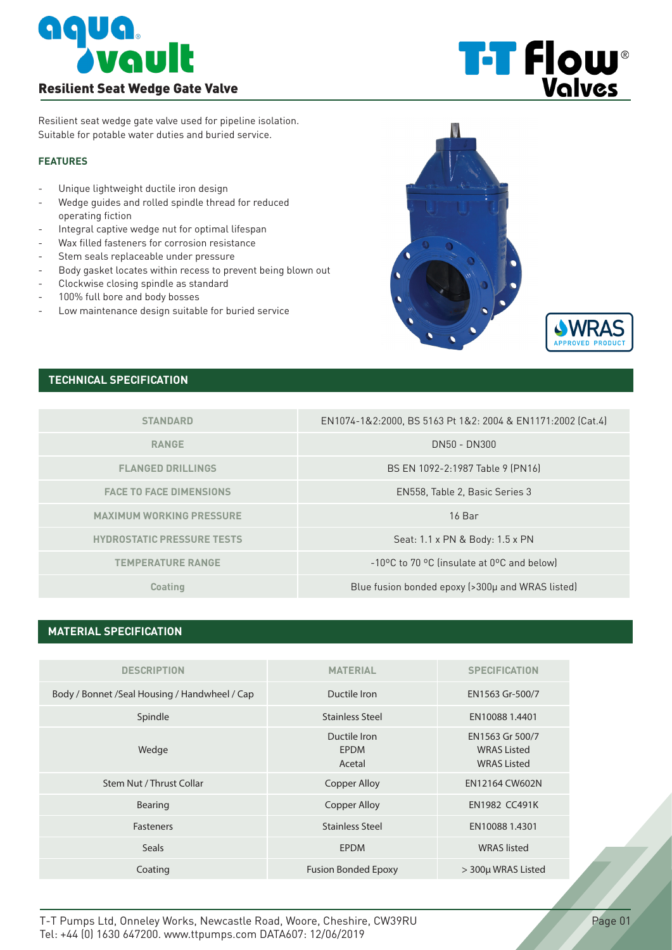

**T-T Flow** 

Resilient seat wedge gate valve used for pipeline isolation. Suitable for potable water duties and buried service.

#### **FEATURES**

- Unique lightweight ductile iron design
- Wedge guides and rolled spindle thread for reduced operating fiction
- Integral captive wedge nut for optimal lifespan
- Wax filled fasteners for corrosion resistance
- Stem seals replaceable under pressure
- Body gasket locates within recess to prevent being blown out
- Clockwise closing spindle as standard
- 100% full bore and body bosses
- Low maintenance design suitable for buried service





# **TECHNICAL SPECIFICATION**

| <b>STANDARD</b>                   | EN1074-1&2:2000, BS 5163 Pt 1&2: 2004 & EN1171:2002 (Cat.4) |  |  |  |
|-----------------------------------|-------------------------------------------------------------|--|--|--|
| <b>RANGE</b>                      | DN50 - DN300                                                |  |  |  |
| <b>FLANGED DRILLINGS</b>          | BS EN 1092-2:1987 Table 9 (PN16)                            |  |  |  |
| <b>FACE TO FACE DIMENSIONS</b>    | EN558, Table 2, Basic Series 3                              |  |  |  |
| <b>MAXIMUM WORKING PRESSURE</b>   | $16$ Bar                                                    |  |  |  |
| <b>HYDROSTATIC PRESSURE TESTS</b> | Seat: 1.1 x PN & Body: 1.5 x PN                             |  |  |  |
| <b>TEMPERATURE RANGE</b>          | -10°C to 70 °C (insulate at 0°C and below)                  |  |  |  |
| Coating                           | Blue fusion bonded epoxy (>300µ and WRAS listed)            |  |  |  |

### **MATERIAL SPECIFICATION**

| <b>DESCRIPTION</b>                             | <b>MATERIAL</b>                | <b>SPECIFICATION</b>                                        |
|------------------------------------------------|--------------------------------|-------------------------------------------------------------|
| Body / Bonnet / Seal Housing / Handwheel / Cap | Ductile Iron                   | EN1563 Gr-500/7                                             |
| Spindle                                        | <b>Stainless Steel</b>         | EN10088 1.4401                                              |
| Wedge                                          | Ductile Iron<br>EPDM<br>Acetal | EN1563 Gr 500/7<br><b>WRAS Listed</b><br><b>WRAS Listed</b> |
| Stem Nut / Thrust Collar                       | <b>Copper Alloy</b>            | EN12164 CW602N                                              |
| Bearing                                        | <b>Copper Alloy</b>            | <b>EN1982 CC491K</b>                                        |
| <b>Fasteners</b>                               | <b>Stainless Steel</b>         | EN10088 1.4301                                              |
| <b>Seals</b>                                   | <b>EPDM</b>                    | <b>WRAS</b> listed                                          |
| Coating                                        | <b>Fusion Bonded Epoxy</b>     | > 300µ WRAS Listed                                          |
|                                                |                                |                                                             |